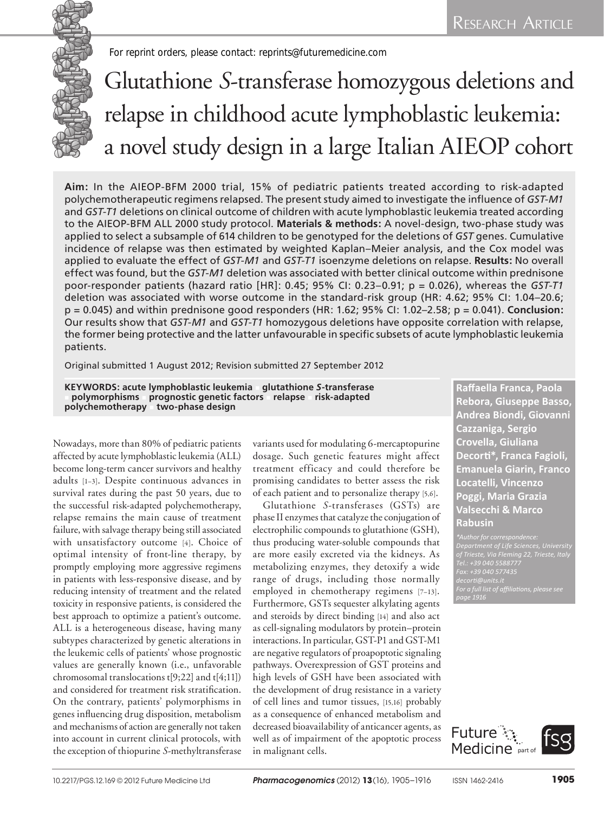*For reprint orders, please contact: reprints@futuremedicine.com*

# Glutathione *S*‑transferase homozygous deletions and relapse in childhood acute lymphoblastic leukemia: a novel study design in a large Italian AIEOP cohort

**Aim:** In the AIEOP-BFM 2000 trial, 15% of pediatric patients treated according to risk-adapted polychemotherapeutic regimens relapsed. The present study aimed to investigate the influence of *GST‑M1* and *GST‑T1* deletions on clinical outcome of children with acute lymphoblastic leukemia treated according to the AIEOP-BFM ALL 2000 study protocol. **Materials & methods:** A novel-design, two-phase study was applied to select a subsample of 614 children to be genotyped for the deletions of *GST* genes. Cumulative incidence of relapse was then estimated by weighted Kaplan–Meier analysis, and the Cox model was applied to evaluate the effect of *GST‑M1* and *GST‑T1* isoenzyme deletions on relapse. **Results:** No overall effect was found, but the *GST‑M1* deletion was associated with better clinical outcome within prednisone poor-responder patients (hazard ratio [HR]: 0.45; 95% CI: 0.23–0.91; p = 0.026), whereas the *GST‑T1* deletion was associated with worse outcome in the standard-risk group (HR: 4.62; 95% CI: 1.04–20.6; p = 0.045) and within prednisone good responders (HR: 1.62; 95% CI: 1.02–2.58; p = 0.041). **Conclusion:** Our results show that *GST‑M1* and *GST‑T1* homozygous deletions have opposite correlation with relapse, the former being protective and the latter unfavourable in specific subsets of acute lymphoblastic leukemia patients.

Original submitted 1 August 2012; Revision submitted 27 September 2012

**KEYWORDS: acute lymphoblastic leukemia** n **glutathione** *S***‑transferase**  <sup>n</sup> **polymorphisms** n **prognostic genetic factors** n **relapse** n **risk-adapted polychemotherapy** n **two-phase design**

Nowadays, more than 80% of pediatric patients affected by acute lymphoblastic leukemia (ALL) become long-term cancer survivors and healthy adults [1–3]. Despite continuous advances in survival rates during the past 50 years, due to the successful risk-adapted polychemotherapy, relapse remains the main cause of treatment failure, with salvage therapy being still associated with unsatisfactory outcome [4]. Choice of optimal intensity of front-line therapy, by promptly employing more aggressive regimens in patients with less-responsive disease, and by reducing intensity of treatment and the related toxicity in responsive patients, is considered the best approach to optimize a patient's outcome. ALL is a heterogeneous disease, having many subtypes characterized by genetic alterations in the leukemic cells of patients' whose prognostic values are generally known (i.e., unfavorable chromosomal translocations t[9;22] and t[4;11]) and considered for treatment risk stratification. On the contrary, patients' polymorphisms in genes influencing drug disposition, metabolism and mechanisms of action are generally not taken into account in current clinical protocols, with the exception of thiopurine *S*-methyltransferase

variants used for modulating 6‑mercaptopurine dosage. Such genetic features might affect treatment efficacy and could therefore be promising candidates to better assess the risk of each patient and to personalize therapy [5,6].

Glutathione *S*‑transferases (GSTs) are phase II enzymes that catalyze the conjugation of electrophilic compounds to glutathione (GSH), thus producing water-soluble compounds that are more easily excreted via the kidneys. As metabolizing enzymes, they detoxify a wide range of drugs, including those normally employed in chemotherapy regimens [7–13]. Furthermore, GSTs sequester alkylating agents and steroids by direct binding [14] and also act as cell-signaling modulators by protein–protein interactions. In particular, GST‑P1 and GST‑M1 are negative regulators of proapoptotic signaling pathways. Overexpression of GST proteins and high levels of GSH have been associated with the development of drug resistance in a variety of cell lines and tumor tissues, [15,16] probably as a consequence of enhanced metabolism and decreased bioavailability of anticancer agents, as well as of impairment of the apoptotic process in malignant cells.

**Raffaella Franca, Paola Rebora, Giuseppe Basso, Andrea Biondi, Giovanni Cazzaniga, Sergio Crovella, Giuliana Decorti\*, Franca Fagioli, Emanuela Giarin, Franco Locatelli, Vincenzo Poggi, Maria Grazia Valsecchi & Marco Rabusin**

*of Trieste, Via Fleming 22, Trieste, Italy Tel.: +39 040 5588777 Fax: +39 040 577435 For a full list of affiliations, please see page 1916*

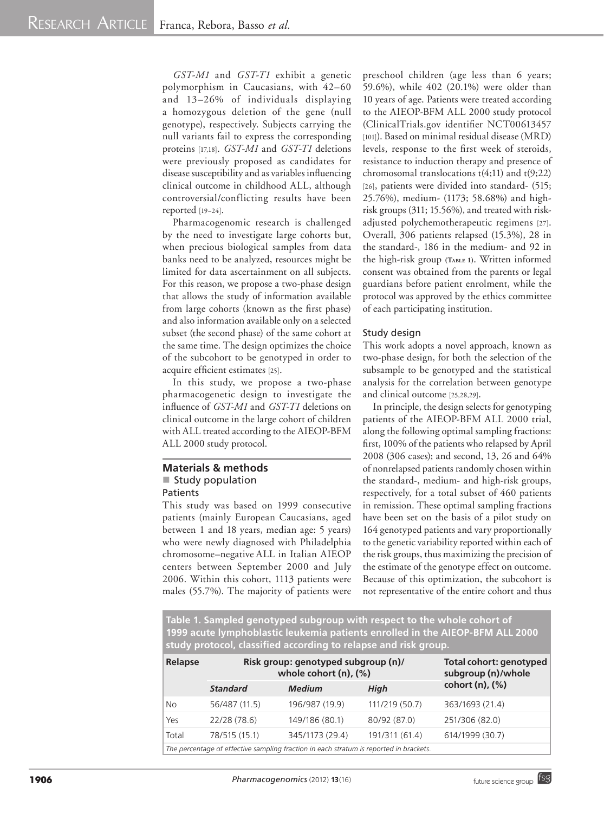*GST‑M1* and *GST‑T1* exhibit a genetic polymorphism in Caucasians, with 42–60 and 13–26% of individuals displaying a homozygous deletion of the gene (null genotype), respectively. Subjects carrying the null variants fail to express the corresponding proteins [17,18]. *GST‑M1* and *GST‑T1* deletions were previously proposed as candidates for disease susceptibility and as variables influencing clinical outcome in childhood ALL, although controversial/conflicting results have been reported [19–24].

Pharmacogenomic research is challenged by the need to investigate large cohorts but, when precious biological samples from data banks need to be analyzed, resources might be limited for data ascertainment on all subjects. For this reason, we propose a two-phase design that allows the study of information available from large cohorts (known as the first phase) and also information available only on a selected subset (the second phase) of the same cohort at the same time. The design optimizes the choice of the subcohort to be genotyped in order to acquire efficient estimates [25].

In this study, we propose a two-phase pharmacogenetic design to investigate the influence of *GST‑M1* and *GST‑T1* deletions on clinical outcome in the large cohort of children with ALL treated according to the AIEOP‑BFM ALL 2000 study protocol.

## **Materials & methods** Study population Patients

This study was based on 1999 consecutive patients (mainly European Caucasians, aged between 1 and 18 years, median age: 5 years) who were newly diagnosed with Philadelphia chromosome–negative ALL in Italian AIEOP centers between September 2000 and July 2006. Within this cohort, 1113 patients were males (55.7%). The majority of patients were preschool children (age less than 6 years; 59.6%), while 402 (20.1%) were older than 10 years of age. Patients were treated according to the AIEOP‑BFM ALL 2000 study protocol (ClinicalTrials.gov identifier NCT00613457 [101]). Based on minimal residual disease (MRD) levels, response to the first week of steroids, resistance to induction therapy and presence of chromosomal translocations t(4;11) and t(9;22) [26], patients were divided into standard- (515; 25.76%), medium- (1173; 58.68%) and highrisk groups (311; 15.56%), and treated with riskadjusted polychemotherapeutic regimens [27]. Overall, 306 patients relapsed (15.3%), 28 in the standard-, 186 in the medium- and 92 in the high-risk group **(Table 1)**. Written informed consent was obtained from the parents or legal guardians before patient enrolment, while the protocol was approved by the ethics committee of each participating institution.

## Study design

This work adopts a novel approach, known as two-phase design, for both the selection of the subsample to be genotyped and the statistical analysis for the correlation between genotype and clinical outcome [25,28,29].

In principle, the design selects for genotyping patients of the AIEOP‑BFM ALL 2000 trial, along the following optimal sampling fractions: first, 100% of the patients who relapsed by April 2008 (306 cases); and second, 13, 26 and 64% of nonrelapsed patients randomly chosen within the standard-, medium- and high-risk groups, respectively, for a total subset of 460 patients in remission. These optimal sampling fractions have been set on the basis of a pilot study on 164 genotyped patients and vary proportionally to the genetic variability reported within each of the risk groups, thus maximizing the precision of the estimate of the genotype effect on outcome. Because of this optimization, the subcohort is not representative of the entire cohort and thus

**Table 1. Sampled genotyped subgroup with respect to the whole cohort of 1999 acute lymphoblastic leukemia patients enrolled in the AIEOP‑BFM ALL 2000 study protocol, classified according to relapse and risk group.**

| Relapse                                                                                | Risk group: genotyped subgroup (n)/<br>whole cohort $(n)$ , $(\%)$ | Total cohort: genotyped<br>subgroup (n)/whole |                |                 |  |  |  |  |
|----------------------------------------------------------------------------------------|--------------------------------------------------------------------|-----------------------------------------------|----------------|-----------------|--|--|--|--|
|                                                                                        | <b>Standard</b>                                                    | <b>Medium</b>                                 | High           | cohort (n), (%) |  |  |  |  |
| <b>No</b>                                                                              | 56/487 (11.5)                                                      | 196/987 (19.9)                                | 111/219 (50.7) | 363/1693 (21.4) |  |  |  |  |
| Yes                                                                                    | 22/28 (78.6)                                                       | 149/186 (80.1)                                | 80/92 (87.0)   | 251/306 (82.0)  |  |  |  |  |
| Total                                                                                  | 78/515 (15.1)                                                      | 345/1173 (29.4)                               | 191/311 (61.4) | 614/1999 (30.7) |  |  |  |  |
| The percentage of effective sampling fraction in each stratum is reported in brackets. |                                                                    |                                               |                |                 |  |  |  |  |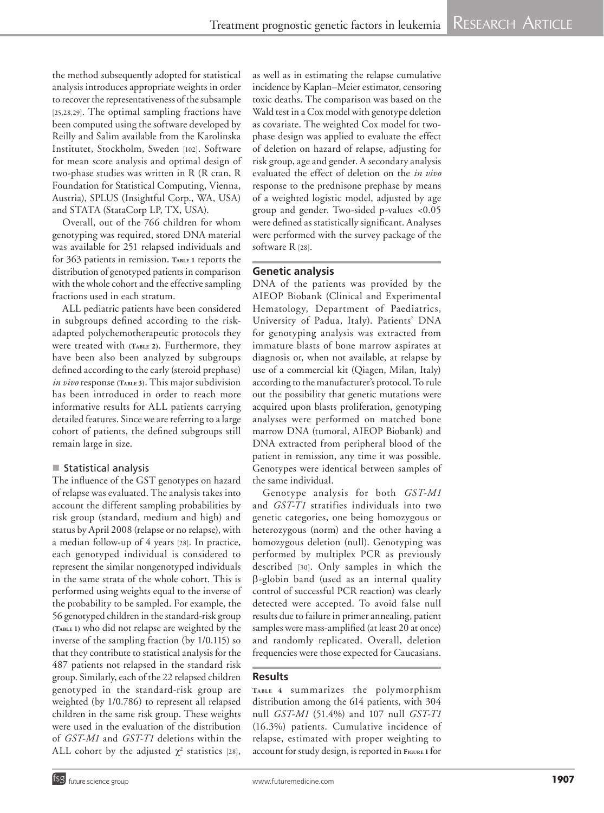the method subsequently adopted for statistical analysis introduces appropriate weights in order to recover the representativeness of the subsample [25,28,29]. The optimal sampling fractions have been computed using the software developed by Reilly and Salim available from the Karolinska Institutet, Stockholm, Sweden [102]. Software for mean score analysis and optimal design of two -phase studies was written in R (R cran, R Foundation for Statistical Computing, Vienna, Austria), SPLUS (Insightful Corp., WA, USA) and STATA (StataCorp LP, TX, USA).

Overall, out of the 766 children for whom genotyping was required, stored DNA material was available for 251 relapsed individuals and for 363 patients in remission. TABLE 1 reports the distribution of genotyped patients in comparison with the whole cohort and the effective sampling fractions used in each stratum.

ALL pediatric patients have been considered in subgroups defined according to the riskadapted polychemotherapeutic protocols they were treated with **(Table 2)**. Furthermore, they have been also been analyzed by subgroups defined according to the early (steroid prephase) *in vivo* response **(Table 3)**. This major subdivision has been introduced in order to reach more informative results for ALL patients carrying detailed features. Since we are referring to a large cohort of patients, the defined subgroups still remain large in size.

## ■ Statistical analysis

The influence of the GST genotypes on hazard of relapse was evaluated. The analysis takes into account the different sampling probabilities by risk group (standard, medium and high) and status by April 2008 (relapse or no relapse), with a median follow -up of 4 years [28]. In practice, each genotyped individual is considered to represent the similar nongenotyped individuals in the same strata of the whole cohort. This is performed using weights equal to the inverse of the probability to be sampled. For example, the 56 genotyped children in the standard -risk group **(Table 1)** who did not relapse are weighted by the inverse of the sampling fraction (by 1/0.115) so that they contribute to statistical analysis for the 487 patients not relapsed in the standard risk group. Similarly, each of the 22 relapsed children genotyped in the standard -risk group are weighted (by 1/0.786) to represent all relapsed children in the same risk group. These weights were used in the evaluation of the distribution of *GST‑M1* and *GST‑T1* deletions within the ALL cohort by the adjusted  $\chi^2$  statistics [28], as well as in estimating the relapse cumulative incidence by Kaplan–Meier estimator, censoring toxic deaths. The comparison was based on the Wald test in a Cox model with genotype deletion as covariate. The weighted Cox model for two phase design was applied to evaluate the effect of deletion on hazard of relapse, adjusting for risk group, age and gender. A secondary analysis evaluated the effect of deletion on the *in vivo* response to the prednisone prephase by means of a weighted logistic model, adjusted by age group and gender. Two -sided p‑values *<*0.05 were defined as statistically significant. Analyses were performed with the survey package of the software R [28] .

## **Genetic analysis**

DNA of the patients was provided by the AIEOP Biobank (Clinical and Experimental Hematology, Department of Paediatrics, University of Padua, Italy). Patients' DNA for genotyping analysis was extracted from immature blasts of bone marrow aspirates at diagnosis or, when not available, at relapse by use of a commercial kit (Qiagen, Milan, Italy) according to the manufacturer's protocol. To rule out the possibility that genetic mutations were acquired upon blasts proliferation, genotyping analyses were performed on matched bone marrow DNA (tumoral, AIEOP Biobank) and DNA extracted from peripheral blood of the patient in remission, any time it was possible. Genotypes were identical between samples of the same individual.

Genotype analysis for both *GST‑M1* and *GST‑T1* stratifies individuals into two genetic categories, one being homozygous or heterozygous (norm) and the other having a homozygous deletion (null). Genotyping was performed by multiplex PCR as previously described [30]. Only samples in which the  $\beta$ -globin band (used as an internal quality control of successful PCR reaction) was clearly detected were accepted. To avoid false null results due to failure in primer annealing, patient samples were mass-amplified (at least 20 at once) and randomly replicated. Overall, deletion frequencies were those expected for Caucasians.

# **Results**

**Ta bl e <sup>4</sup>** summarizes the polymorphism distribution among the 614 patients, with 304 null *GST‑M1* (51.4%) and 107 null *GST‑T1* (16.3%) patients. Cumulative incidence of relapse, estimated with proper weighting to account for study design, is reported in **Figure <sup>1</sup>**for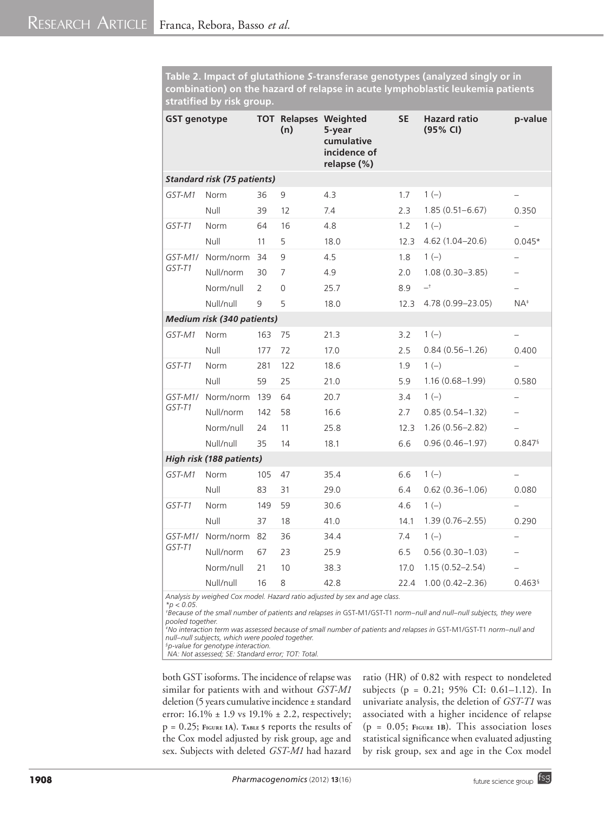**Table 2. Impact of glutathione** *S***‑transferase genotypes (analyzed singly or in combination) on the hazard of relapse in acute lymphoblastic leukemia patients stratified by risk group.** 

| <b>GST genotype</b>               |                                    |                | (n)            | <b>TOT Relapses Weighted</b><br>5-year<br>cumulative<br>incidence of<br>relapse (%) | <b>SE</b> | <b>Hazard ratio</b><br>(95% CI) | p-value                  |  |
|-----------------------------------|------------------------------------|----------------|----------------|-------------------------------------------------------------------------------------|-----------|---------------------------------|--------------------------|--|
|                                   | <b>Standard risk (75 patients)</b> |                |                |                                                                                     |           |                                 |                          |  |
| GST-M1                            | Norm                               | 36             | 9              | 4.3                                                                                 | 1.7       | $1(-)$                          | -                        |  |
|                                   | Null                               | 39             | 12             | 7.4                                                                                 | 2.3       | $1.85(0.51 - 6.67)$             | 0.350                    |  |
| GST-T1                            | <b>Norm</b>                        | 64             | 16             | 4.8                                                                                 | 1.2       | $1(-)$                          | $\overline{\phantom{0}}$ |  |
|                                   | Null                               | 11             | 5              | 18.0                                                                                | 12.3      | $4.62(1.04 - 20.6)$             | $0.045*$                 |  |
| $GST-M1/$                         | Norm/norm                          | 34             | 9              | 4.5                                                                                 | 1.8       | $1(-)$                          | $\overline{\phantom{0}}$ |  |
| GST-T1                            | Null/norm                          | 30             | $\overline{7}$ | 4.9                                                                                 | 2.0       | $1.08(0.30 - 3.85)$             | -                        |  |
|                                   | Norm/null                          | $\overline{2}$ | $\Omega$       | 25.7                                                                                | 8.9       | $-$ <sup>+</sup>                | $\overline{\phantom{0}}$ |  |
|                                   | Null/null                          | 9              | 5              | 18.0                                                                                | 12.3      | 4.78 (0.99-23.05)               | $NA^*$                   |  |
| <b>Medium risk (340 patients)</b> |                                    |                |                |                                                                                     |           |                                 |                          |  |
| GST-M1                            | Norm                               | 163            | 75             | 21.3                                                                                | 3.2       | $1(-)$                          | -                        |  |
|                                   | Null                               | 177            | 72             | 17.0                                                                                | 2.5       | $0.84(0.56 - 1.26)$             | 0.400                    |  |
| GST-T1                            | <b>Norm</b>                        | 281            | 122            | 18.6                                                                                | 1.9       | $1(-)$                          | $\overline{\phantom{0}}$ |  |
|                                   | Null                               | 59             | 25             | 21.0                                                                                | 5.9       | $1.16(0.68 - 1.99)$             | 0.580                    |  |
| GST-M1/                           | Norm/norm                          | 139            | 64             | 20.7                                                                                | 3.4       | $1(-)$                          | $\overline{\phantom{0}}$ |  |
| GST-T1                            | Null/norm                          | 142            | 58             | 16.6                                                                                | 2.7       | $0.85(0.54 - 1.32)$             | -                        |  |
|                                   | Norm/null                          | 24             | 11             | 25.8                                                                                | 12.3      | $1.26(0.56 - 2.82)$             |                          |  |
|                                   | Null/null                          | 35             | 14             | 18.1                                                                                | 6.6       | $0.96(0.46 - 1.97)$             | $0.847$ <sup>§</sup>     |  |
|                                   | High risk (188 patients)           |                |                |                                                                                     |           |                                 |                          |  |
| GST-M1                            | Norm                               | 105            | 47             | 35.4                                                                                | 6.6       | $1(-)$                          |                          |  |
|                                   | Null                               | 83             | 31             | 29.0                                                                                | 6.4       | $0.62(0.36 - 1.06)$             | 0.080                    |  |
| GST-T1                            | Norm                               | 149            | 59             | 30.6                                                                                | 4.6       | $1(-)$                          | $\qquad \qquad -$        |  |
|                                   | Null                               | 37             | 18             | 41.0                                                                                | 14.1      | $1.39(0.76 - 2.55)$             | 0.290                    |  |
| GST-M1/                           | Norm/norm                          | 82             | 36             | 34.4                                                                                | 7.4       | $1(-)$                          | -                        |  |
| GST-T1                            | Null/norm                          | 67             | 23             | 25.9                                                                                | 6.5       | $0.56(0.30-1.03)$               |                          |  |
|                                   | Norm/null                          | 21             | 10             | 38.3                                                                                | 17.0      | $1.15(0.52 - 2.54)$             |                          |  |
|                                   | Null/null                          | 16             | 8              | 42.8                                                                                | 22.4      | $1.00(0.42 - 2.36)$             | $0.463$ <sup>§</sup>     |  |

*Analysis by weighed Cox model. Hazard ratio adjusted by sex and age class.*

*\*p < 0.05.*

*† Because of the small number of patients and relapses in* GST-M1*/*GST-T1 *norm–null and null–null subjects, they were pooled together.* 

*‡ No interaction term was assessed because of small number of patients and relapses in* GST-M1*/*GST-T1 *norm–null and null–null subjects, which were pooled together.* 

*§p‑value for genotype interaction.*

 *NA: Not assessed; SE: Standard error; TOT: Total.*

both GST isoforms. The incidence of relapse was similar for patients with and without *GST‑M1* deletion (5 years cumulative incidence ± standard error:  $16.1\% \pm 1.9$  vs  $19.1\% \pm 2.2$ , respectively; p = 0.25; **Figure 1A**). **Table <sup>5</sup>** reports the results of the Cox model adjusted by risk group, age and sex. Subjects with deleted *GST‑M1* had hazard

ratio (HR) of 0.82 with respect to nondeleted subjects (p = 0.21; 95% CI: 0.61–1.12). In univariate analysis, the deletion of *GST‑T1* was associated with a higher incidence of relapse (p = 0.05; **Figure 1B**). This association loses statistical significance when evaluated adjusting by risk group, sex and age in the Cox model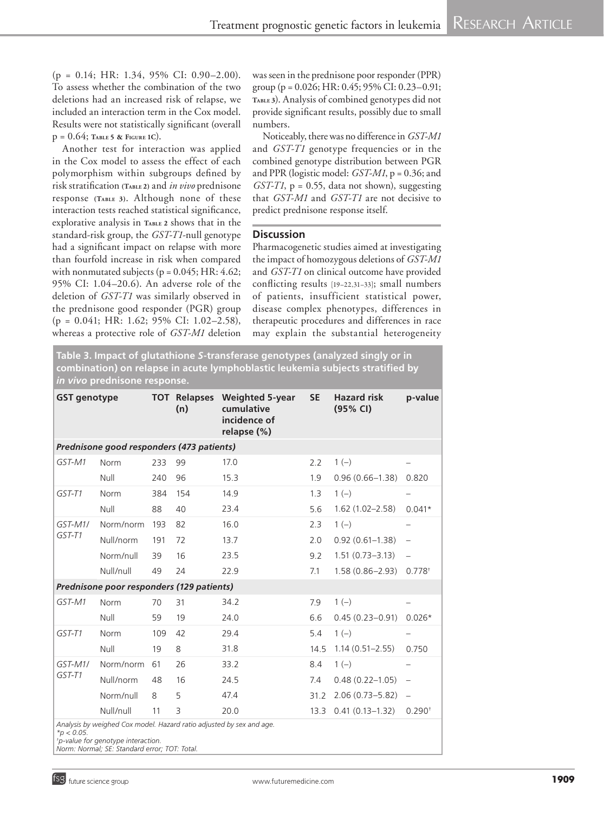(p = 0.14; HR: 1.34, 95% CI: 0.90–2.00). To assess whether the combination of the two deletions had an increased risk of relapse, we included an interaction term in the Cox model. Results were not statistically significant (overall p = 0.64; **Table <sup>5</sup> & Figure 1C**).

Another test for interaction was applied in the Cox model to assess the effect of each polymorphism within subgroups defined by risk stratification **(Table 2)** and *in vivo* prednisone response **(Table 3)**. Although none of these interaction tests reached statistical significance, explorative analysis in **TABLE** 2 shows that in the standard-risk group, the *GST‑T1*-null genotype had a significant impact on relapse with more than fourfold increase in risk when compared with nonmutated subjects ( $p = 0.045$ ; HR: 4.62; 95% CI: 1.04–20.6). An adverse role of the deletion of *GST‑T1* was similarly observed in the prednisone good responder (PGR) group (p = 0.041; HR: 1.62; 95% CI: 1.02–2.58), whereas a protective role of *GST‑M1* deletion was seen in the prednisone poor responder (PPR) group (p = 0.026; HR: 0.45; 95% CI: 0.23–0.91; **Table <sup>3</sup>**). Analysis of combined genotypes did not provide significant results, possibly due to small numbers.

Noticeably, there was no difference in *GST‑M1* and *GST‑T1* genotype frequencies or in the combined genotype distribution between PGR and PPR (logistic model: *GST‑M1*, p = 0.36; and  $GST-T1$ ,  $p = 0.55$ , data not shown), suggesting that *GST‑M1* and *GST‑T1* are not decisive to predict prednisone response itself.

## **Discussion**

Pharmacogenetic studies aimed at investigating the impact of homozygous deletions of *GST‑M1* and *GST‑T1* on clinical outcome have provided conflicting results [19–22,31–33]; small numbers of patients, insufficient statistical power, disease complex phenotypes, differences in therapeutic procedures and differences in race may explain the substantial heterogeneity

**Table 3. Impact of glutathione** *S***‑transferase genotypes (analyzed singly or in combination) on relapse in acute lymphoblastic leukemia subjects stratified by**  *in vivo* **prednisone response.** 

| <b>GST genotype</b>                                                  |                                           |     | <b>TOT Relapses</b><br>(n) | <b>Weighted 5-year</b><br>cumulative<br>incidence of<br>relapse (%) | <b>SE</b> | <b>Hazard risk</b><br>(95% CI) | p-value                  |  |  |  |
|----------------------------------------------------------------------|-------------------------------------------|-----|----------------------------|---------------------------------------------------------------------|-----------|--------------------------------|--------------------------|--|--|--|
| Prednisone good responders (473 patients)                            |                                           |     |                            |                                                                     |           |                                |                          |  |  |  |
| GST-M1                                                               | Norm                                      | 233 | 99                         | 17.0                                                                | 2.2       | $1(-)$                         |                          |  |  |  |
|                                                                      | Null                                      | 240 | 96                         | 15.3                                                                | 1.9       | $0.96(0.66 - 1.38)$            | 0.820                    |  |  |  |
| GST-T1                                                               | Norm                                      | 384 | 154                        | 14.9                                                                | 1.3       | $1(-)$                         |                          |  |  |  |
|                                                                      | Null                                      | 88  | 40                         | 23.4                                                                | 5.6       | $1.62(1.02 - 2.58)$            | $0.041*$                 |  |  |  |
| $GST-M1/$                                                            | Norm/norm                                 | 193 | 82                         | 16.0                                                                | 2.3       | $1(-)$                         |                          |  |  |  |
| GST-T1                                                               | Null/norm                                 | 191 | 72                         | 13.7                                                                | 2.0       | $0.92(0.61 - 1.38)$            | $\overline{\phantom{0}}$ |  |  |  |
|                                                                      | Norm/null                                 | 39  | 16                         | 23.5                                                                | 9.2       | $1.51(0.73 - 3.13)$            |                          |  |  |  |
|                                                                      | Null/null                                 | 49  | 24                         | 22.9                                                                | 7.1       | $1.58(0.86 - 2.93)$            | $0.778^{+}$              |  |  |  |
|                                                                      | Prednisone poor responders (129 patients) |     |                            |                                                                     |           |                                |                          |  |  |  |
| GST-M1                                                               | Norm                                      | 70  | 31                         | 34.2                                                                | 7.9       | $1(-)$                         |                          |  |  |  |
|                                                                      | Null                                      | 59  | 19                         | 24.0                                                                | 6.6       | $0.45(0.23 - 0.91)$            | $0.026*$                 |  |  |  |
| GST-T1                                                               | Norm                                      | 109 | 42                         | 29.4                                                                | 5.4       | $1(-)$                         |                          |  |  |  |
|                                                                      | Null                                      | 19  | 8                          | 31.8                                                                | 14.5      | $1.14(0.51 - 2.55)$            | 0.750                    |  |  |  |
| $GST-M1/$<br>GST-T1                                                  | Norm/norm                                 | 61  | 26                         | 33.2                                                                | 8.4       | $1(-)$                         |                          |  |  |  |
|                                                                      | Null/norm                                 | 48  | 16                         | 24.5                                                                | 7.4       | $0.48(0.22 - 1.05)$            | $\qquad \qquad -$        |  |  |  |
|                                                                      | Norm/null                                 | 8   | 5                          | 47.4                                                                | 31.2      | $2.06(0.73 - 5.82)$            |                          |  |  |  |
|                                                                      | Null/null                                 | 11  | 3                          | 20.0                                                                | 13.3      | $0.41(0.13 - 1.32)$            | $0.290^{+}$              |  |  |  |
| Analysis by weighed Cox model. Hazard ratio adjusted by sex and age. |                                           |     |                            |                                                                     |           |                                |                          |  |  |  |

*\*p < 0.05.* 

*Norm: Normal; SE: Standard error; TOT: Total.*

*<sup>†</sup> p‑value for genotype interaction.*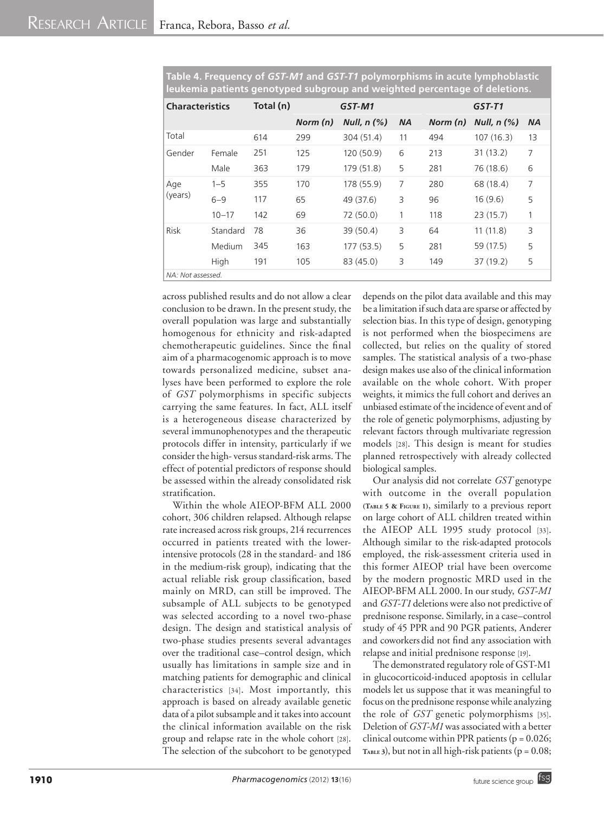| <b>Characteristics</b> |                   | Total (n) | GST-M1   |                  |           | $GST-T1$ |                  |                |
|------------------------|-------------------|-----------|----------|------------------|-----------|----------|------------------|----------------|
|                        |                   |           | Norm (n) | Null, $n$ $(\%)$ | <b>NA</b> | Norm (n) | Null, $n$ $(\%)$ | <b>NA</b>      |
| Total                  |                   | 614       | 299      | 304 (51.4)       | 11        | 494      | 107(16.3)        | 13             |
| Gender                 | Female            | 251       | 125      | 120 (50.9)       | 6         | 213      | 31(13.2)         | 7              |
|                        | Male              | 363       | 179      | 179 (51.8)       | 5         | 281      | 76 (18.6)        | 6              |
| Age                    | $1 - 5$           | 355       | 170      | 178 (55.9)       | 7         | 280      | 68 (18.4)        | $\overline{7}$ |
| (years)                | $6 - 9$           | 117       | 65       | 49 (37.6)        | 3         | 96       | 16(9.6)          | 5              |
|                        | $10 - 17$         | 142       | 69       | 72 (50.0)        | 1         | 118      | 23(15.7)         | 1              |
| <b>Risk</b>            | Standard          | 78        | 36       | 39 (50.4)        | 3         | 64       | 11(11.8)         | 3              |
|                        | Medium            | 345       | 163      | 177(53.5)        | 5         | 281      | 59 (17.5)        | 5              |
|                        | High              | 191       | 105      | 83 (45.0)        | 3         | 149      | 37 (19.2)        | 5              |
|                        | NA: Not assessed. |           |          |                  |           |          |                  |                |

**Table 4. Frequency of** *GST‑M1* **and** *GST‑T1* **polymorphisms in acute lymphoblastic leukemia patients genotyped subgroup and weighted percentage of deletions.**

across published results and do not allow a clear conclusion to be drawn. In the present study, the overall population was large and substantially homogenous for ethnicity and risk-adapted chemotherapeutic guidelines. Since the final aim of a pharmacogenomic approach is to move towards personalized medicine, subset analyses have been performed to explore the role of *GST* polymorphisms in specific subjects carrying the same features. In fact, ALL itself is a heterogeneous disease characterized by several immunophenotypes and the therapeutic protocols differ in intensity, particularly if we consider the high- versus standard-risk arms. The effect of potential predictors of response should be assessed within the already consolidated risk stratification.

Within the whole AIEOP‑BFM ALL 2000 cohort, 306 children relapsed. Although relapse rate increased across risk groups, 214 recurrences occurred in patients treated with the lowerintensive protocols (28 in the standard- and 186 in the medium-risk group), indicating that the actual reliable risk group classification, based mainly on MRD, can still be improved. The subsample of ALL subjects to be genotyped was selected according to a novel two-phase design. The design and statistical analysis of two-phase studies presents several advantages over the traditional case–control design, which usually has limitations in sample size and in matching patients for demographic and clinical characteristics [34]. Most importantly, this approach is based on already available genetic data of a pilot subsample and it takes into account the clinical information available on the risk group and relapse rate in the whole cohort [28]. The selection of the subcohort to be genotyped depends on the pilot data available and this may be a limitation if such data are sparse or affected by selection bias. In this type of design, genotyping is not performed when the biospecimens are collected, but relies on the quality of stored samples. The statistical analysis of a two-phase design makes use also of the clinical information available on the whole cohort. With proper weights, it mimics the full cohort and derives an unbiased estimate of the incidence of event and of the role of genetic polymorphisms, adjusting by relevant factors through multivariate regression models [28]. This design is meant for studies planned retrospectively with already collected biological samples.

Our analysis did not correlate *GST* genotype with outcome in the overall population **(Table <sup>5</sup> & Figure 1)**, similarly to a previous report on large cohort of ALL children treated within the AIEOP ALL 1995 study protocol [33]. Although similar to the risk-adapted protocols employed, the risk-assessment criteria used in this former AIEOP trial have been overcome by the modern prognostic MRD used in the AIEOP‑BFM ALL 2000. In our study, *GST‑M1* and *GST‑T1* deletions were also not predictive of prednisone response. Similarly, in a case–control study of 45 PPR and 90 PGR patients, Anderer and coworkers did not find any association with relapse and initial prednisone response [19].

The demonstrated regulatory role of GST-M1 in glucocorticoid-induced apoptosis in cellular models let us suppose that it was meaningful to focus on the prednisone response while analyzing the role of *GST* genetic polymorphisms [35]. Deletion of *GST‑M1* was associated with a better clinical outcome within PPR patients ( $p = 0.026$ ; TABLE 3), but not in all high-risk patients ( $p = 0.08$ ;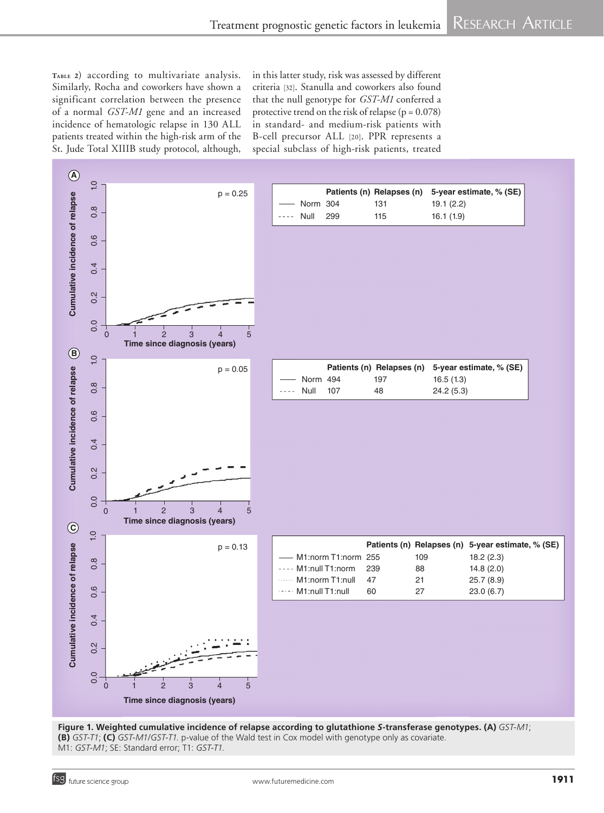**Table <sup>2</sup>**) according to multivariate analysis. Similarly, Rocha and coworkers have shown a significant correlation between the presence of a normal *GST‑M1* gene and an increased incidence of hematologic relapse in 130 ALL patients treated within the high-risk arm of the St. Jude Total XIIIB study protocol, although,

in this latter study, risk was assessed by different criteria [32]. Stanulla and coworkers also found that the null genotype for *GST‑M1* conferred a protective trend on the risk of relapse ( $p = 0.078$ ) in standard- and medium-risk patients with B‑cell precursor ALL [20]. PPR represents a special subclass of high-risk patients, treated



**Figure 1. Weighted cumulative incidence of relapse according to glutathione** *S***‑transferase genotypes. (A)** *GST-M1*; **(B)** *GST-T1*; **(C)** *GST-M1/GST-T1*. p-value of the Wald test in Cox model with genotype only as covariate. M1: *GST-M1*; SE: Standard error; T1: *GST-T1*.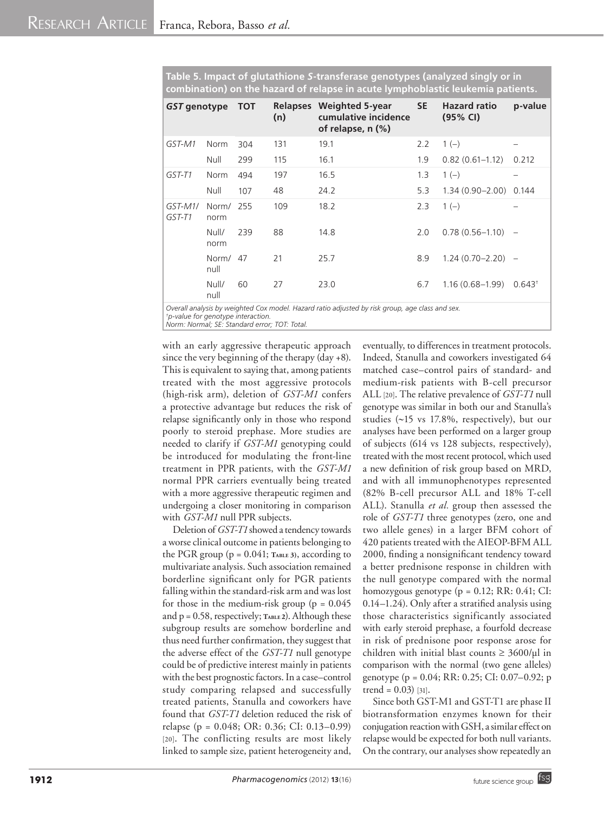| GST genotype      |                   | <b>TOT</b> | <b>Relapses</b><br>(n) | <b>Weighted 5-year</b><br>cumulative incidence<br>of relapse, $n$ $(\%)$ | SE. | <b>Hazard ratio</b><br>(95% CI) | p-value            |
|-------------------|-------------------|------------|------------------------|--------------------------------------------------------------------------|-----|---------------------------------|--------------------|
| GST-M1            | Norm              | 304        | 131                    | 19.1                                                                     | 2.2 | $1(-)$                          |                    |
|                   | Null              | 299        | 115                    | 16.1                                                                     | 1.9 | $0.82(0.61 - 1.12)$             | 0.212              |
| GST-T1            | <b>Norm</b>       | 494        | 197                    | 16.5                                                                     | 1.3 | $1(-)$                          |                    |
|                   | Null              | 107        | 48                     | 24.2                                                                     | 5.3 | $1.34(0.90 - 2.00)$             | 0.144              |
| GST-M1/<br>GST-T1 | Norm/ 255<br>norm |            | 109                    | 18.2                                                                     | 2.3 | $1(-)$                          |                    |
|                   | Null/<br>norm     | 239        | 88                     | 14.8                                                                     | 2.0 | $0.78(0.56 - 1.10)$ -           |                    |
|                   | Norm/<br>null     | 47         | 21                     | 25.7                                                                     | 8.9 | $1.24(0.70-2.20) -$             |                    |
|                   | Null/<br>null     | 60         | 27                     | 23.0                                                                     | 6.7 | $1.16(0.68 - 1.99)$             | 0.643 <sup>†</sup> |

**Table 5. Impact of glutathione** *S***‑transferase genotypes (analyzed singly or in combination) on the hazard of relapse in acute lymphoblastic leukemia patients.** 

*Overall analysis by weighted Cox model. Hazard ratio adjusted by risk group, age class and sex.*

*† p‑value for genotype interaction.*

*Norm: Normal; SE: Standard error; TOT: Total.*

with an early aggressive therapeutic approach since the very beginning of the therapy (day +8). This is equivalent to saying that, among patients treated with the most aggressive protocols (high-risk arm), deletion of *GST‑M1* confers a protective advantage but reduces the risk of relapse significantly only in those who respond poorly to steroid prephase. More studies are needed to clarify if *GST‑M1* genotyping could be introduced for modulating the front-line treatment in PPR patients, with the *GST‑M1* normal PPR carriers eventually being treated with a more aggressive therapeutic regimen and undergoing a closer monitoring in comparison with *GST‑M1* null PPR subjects.

Deletion of *GST‑T1* showed a tendency towards a worse clinical outcome in patients belonging to the PGR group  $(p = 0.041;$  TABLE 3), according to multivariate analysis. Such association remained borderline significant only for PGR patients falling within the standard-risk arm and was lost for those in the medium-risk group ( $p = 0.045$ ) and p = 0.58, respectively; TABLE 2). Although these subgroup results are somehow borderline and thus need further confirmation, they suggest that the adverse effect of the *GST‑T1* null genotype could be of predictive interest mainly in patients with the best prognostic factors. In a case–control study comparing relapsed and successfully treated patients, Stanulla and coworkers have found that *GST‑T1* deletion reduced the risk of relapse (p = 0.048; OR: 0.36; CI: 0.13–0.99) [20]. The conflicting results are most likely linked to sample size, patient heterogeneity and, eventually, to differences in treatment protocols. Indeed, Stanulla and coworkers investigated 64 matched case–control pairs of standard- and medium-risk patients with B‑cell precursor ALL [20]. The relative prevalence of *GST‑T1* null genotype was similar in both our and Stanulla's studies (~15 vs 17.8%, respectively), but our analyses have been performed on a larger group of subjects (614 vs 128 subjects, respectively), treated with the most recent protocol, which used a new definition of risk group based on MRD, and with all immunophenotypes represented (82% B‑cell precursor ALL and 18% T‑cell ALL). Stanulla *et al.* group then assessed the role of *GST‑T1* three genotypes (zero, one and two allele genes) in a larger BFM cohort of 420 patients treated with the AIEOP‑BFM ALL 2000, finding a nonsignificant tendency toward a better prednisone response in children with the null genotype compared with the normal homozygous genotype (p = 0.12; RR: 0.41; CI: 0.14–1.24). Only after a stratified analysis using those characteristics significantly associated with early steroid prephase, a fourfold decrease in risk of prednisone poor response arose for children with initial blast counts  $\geq 3600/\mu l$  in comparison with the normal (two gene alleles) genotype (p = 0.04; RR: 0.25; CI: 0.07–0.92; p trend =  $0.03$ ) [31].

Since both GST-M1 and GST-T1 are phase II biotransformation enzymes known for their conjugation reaction with GSH, a similar effect on relapse would be expected for both null variants. On the contrary, our analyses show repeatedly an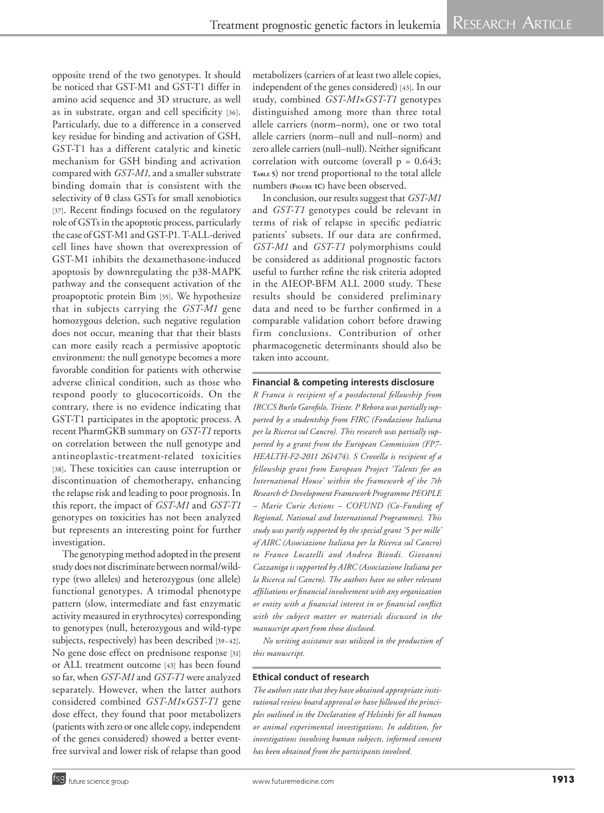opposite trend of the two genotypes. It should be noticed that GST‑M1 and GST‑T1 differ in amino acid sequence and 3D structure, as well as in substrate, organ and cell specificity [36]. Particularly, due to a difference in a conserved key residue for binding and activation of GSH, GST‑T1 has a different catalytic and kinetic mechanism for GSH binding and activation compared with *GST‑M1*, and a smaller substrate binding domain that is consistent with the selectivity of  $\theta$  class GSTs for small xenobiotics [37]. Recent findings focused on the regulatory role of GSTs in the apoptotic process, particularly the case of GST‑M1 and GST‑P1. T‑ALL -derived cell lines have shown that overexpression of GST‑M1 inhibits the dexamethasone -induced apoptosis by downregulating the p38‑MAPK pathway and the consequent activation of the proapoptotic protein Bim [35]. We hypothesize that in subjects carrying the *GST‑M1* gene homozygous deletion, such negative regulation does not occur, meaning that that their blasts can more easily reach a permissive apoptotic environment: the null genotype becomes a more favorable condition for patients with otherwise adverse clinical condition, such as those who respond poorly to glucocorticoids. On the contrary, there is no evidence indicating that GST-T1 participates in the apoptotic process. A recent PharmGKB summary on *GST‑T1* reports on correlation between the null genotype and antineoplastic -treatment‑related toxicities [38]. These toxicities can cause interruption or discontinuation of chemotherapy, enhancing the relapse risk and leading to poor prognosis. In this report, the impact of *GST‑M1* and *GST‑T1* genotypes on toxicities has not been analyzed but represents an interesting point for further investigation.

The genotyping method adopted in the present study does not discriminate between normal/wild type (two alleles) and heterozygous (one allele) functional genotypes. A trimodal phenotype pattern (slow, intermediate and fast enzymatic activity measured in erythrocytes) corresponding to genotypes (null, heterozygous and wild -type subjects, respectively) has been described [39–42]. No gene dose effect on prednisone response [31] or ALL treatment outcome [43] has been found so far, when *GST‑M1* and *GST‑T1* were analyzed separately. However, when the latter authors considered combined *GST‑M1* ×*GST‑T1* gene dose effect, they found that poor metabolizers (patients with zero or one allele copy, independent of the genes considered) showed a better eventfree survival and lower risk of relapse than good

metabolizers (carriers of at least two allele copies, independent of the genes considered) [43]. In our study, combined *GST‑M1* ×*GST‑T1* genotypes distinguished among more than three total allele carriers (norm–norm), one or two total allele carriers (norm–null and null–norm) and zero allele carriers (null–null). Neither significant correlation with outcome (overall  $p = 0.643$ ; **Table <sup>5</sup>**) nor trend proportional to the total allele numbers **(Figure 1C)** have been observed.

In conclusion, our results suggest that *GST‑M1* and *GST‑T1* genotypes could be relevant in terms of risk of relapse in specific pediatric patients' subsets. If our data are confirmed, *GST‑M1* and *GST‑T1* polymorphisms could be considered as additional prognostic factors useful to further refine the risk criteria adopted in the AIEOP‑BFM ALL 2000 study. These results should be considered preliminary data and need to be further confirmed in a comparable validation cohort before drawing firm conclusions. Contribution of other pharmacogenetic determinants should also be taken into account.

### **Financial & competing interests disclosure**

*R Franca is recipient of a postdoctoral fellowship from IRCCS Burlo Garofolo, Trieste. P Rebora was partially sup ‑ ported by a studentship from FIRC (Fondazione Italiana per la Ricerca sul Cancro). This research was partially sup ‑ ported by a grant from the European Commission (FP7-HEALTH-F2-2011 261474). S Crovella is recipient of a fellowship grant from European Project 'Talents for an International House' within the framework of the 7th Research & Development Framework Programme PEOPLE – Marie Curie Actions – COFUND (Co -Funding of Regional, National and International Programmes). This study was partly supported by the special grant '5 per mille' of AIRC (Associazione Italiana per la Ricerca sul Cancro) to Franco Locatelli and Andrea Biondi. Giovanni Cazzaniga is supported by AIRC (Associazione Italiana per la Ricerca sul Cancro). The authors have no other relevant affiliations or financial involvement with any organization or entity with a financial interest in or financial conflict with the subject matter or materials discussed in the manuscript apart from those disclosed.*

*No writing assistance was utilized in the production of this manuscript.*

### **Ethical conduct of research**

*The authors state that they have obtained appropriate insti ‑ tutional review board approval or have followed the princi ‑ ples outlined in the Declaration of Helsinki for all human or animal experimental investigations. In addition, for investigations involving human subjects, informed consent has been obtained from the participants involved.*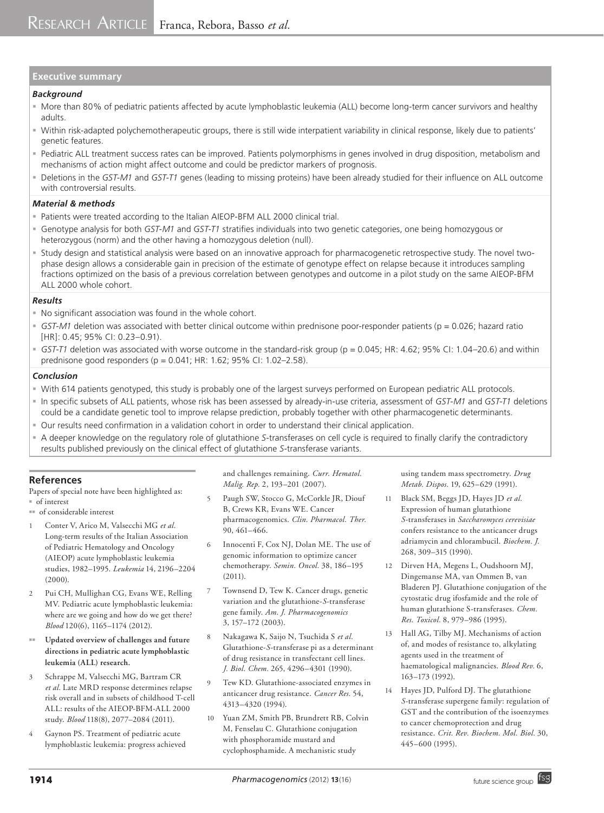# **Executive summary**

#### *Background*

- More than 80% of pediatric patients affected by acute lymphoblastic leukemia (ALL) become long-term cancer survivors and healthy adults.
- Within risk-adapted polychemotherapeutic groups, there is still wide interpatient variability in clinical response, likely due to patients' genetic features.
- Pediatric ALL treatment success rates can be improved. Patients polymorphisms in genes involved in drug disposition, metabolism and mechanisms of action might affect outcome and could be predictor markers of prognosis.
- Deletions in the *GST‑M1* and *GST‑T1* genes (leading to missing proteins) have been already studied for their influence on ALL outcome with controversial results.

#### *Material & methods*

- Patients were treated according to the Italian AIEOP-BFM ALL 2000 clinical trial.
- Genotype analysis for both *GST‑M1* and *GST‑T1* stratifies individuals into two genetic categories, one being homozygous or heterozygous (norm) and the other having a homozygous deletion (null).
- Study design and statistical analysis were based on an innovative approach for pharmacogenetic retrospective study. The novel twophase design allows a considerable gain in precision of the estimate of genotype effect on relapse because it introduces sampling fractions optimized on the basis of a previous correlation between genotypes and outcome in a pilot study on the same AIEOP-BFM ALL 2000 whole cohort.

#### *Results*

- No significant association was found in the whole cohort.
- *GST‑M1* deletion was associated with better clinical outcome within prednisone poor-responder patients (p = 0.026; hazard ratio [HR]: 0.45; 95% CI: 0.23–0.91).
- *GST‑T1* deletion was associated with worse outcome in the standard-risk group (p = 0.045; HR: 4.62; 95% CI: 1.04–20.6) and within prednisone good responders (p = 0.041; HR: 1.62; 95% CI: 1.02–2.58).

#### *Conclusion*

- With 614 patients genotyped, this study is probably one of the largest surveys performed on European pediatric ALL protocols.
- In specific subsets of ALL patients, whose risk has been assessed by already-in-use criteria, assessment of *GST‑M1* and *GST‑T1* deletions could be a candidate genetic tool to improve relapse prediction, probably together with other pharmacogenetic determinants.
- Our results need confirmation in a validation cohort in order to understand their clinical application.
- A deeper knowledge on the regulatory role of glutathione *S*-transferases on cell cycle is required to finally clarify the contradictory results published previously on the clinical effect of glutathione *S*-transferase variants.

### **References**

Papers of special note have been highlighted as:  $=$  of interest

- <sup>nn</sup> of considerable interest
- 1 Conter V, Arico M, Valsecchi MG *et al.* Long-term results of the Italian Association of Pediatric Hematology and Oncology (AIEOP) acute lymphoblastic leukemia studies, 1982–1995. *Leukemia* 14, 2196–2204 (2000).
- 2 Pui CH, Mullighan CG, Evans WE, Relling MV. Pediatric acute lymphoblastic leukemia: where are we going and how do we get there? *Blood* 120(6), 1165–1174 (2012).
- **Updated overview of challenges and future directions in pediatric acute lymphoblastic leukemia (ALL) research.**
- 3 Schrappe M, Valsecchi MG, Bartram CR *et al.* Late MRD response determines relapse risk overall and in subsets of childhood T‑cell ALL: results of the AIEOP-BFM-ALL 2000 study. *Blood* 118(8), 2077–2084 (2011).
- 4 Gaynon PS. Treatment of pediatric acute lymphoblastic leukemia: progress achieved

and challenges remaining. *Curr. Hematol. Malig. Rep.* 2, 193–201 (2007).

- 5 Paugh SW, Stocco G, McCorkle JR, Diouf B, Crews KR, Evans WE. Cancer pharmacogenomics. *Clin. Pharmacol. Ther.* 90, 461–466.
- 6 Innocenti F, Cox NJ, Dolan ME. The use of genomic information to optimize cancer chemotherapy. *Semin. Oncol.* 38, 186–195 (2011).
- 7 Townsend D, Tew K. Cancer drugs, genetic variation and the glutathione-*S*-transferase gene family. *Am. J. Pharmacogenomics* 3, 157–172 (2003).
- 8 Nakagawa K, Saijo N, Tsuchida S *et al.* Glutathione-*S*-transferase pi as a determinant of drug resistance in transfectant cell lines. *J. Biol. Chem.* 265, 4296–4301 (1990).
- Tew KD. Glutathione-associated enzymes in anticancer drug resistance. *Cancer Res.* 54, 4313–4320 (1994).
- 10 Yuan ZM, Smith PB, Brundrett RB, Colvin M, Fenselau C. Glutathione conjugation with phosphoramide mustard and cyclophosphamide. A mechanistic study

using tandem mass spectrometry. *Drug Metab. Dispos.* 19, 625–629 (1991).

- 11 Black SM, Beggs JD, Hayes JD *et al.* Expression of human glutathione *S*-transferases in *Saccharomyces cerevisiae* confers resistance to the anticancer drugs adriamycin and chlorambucil. *Biochem. J.*  268, 309–315 (1990).
- 12 Dirven HA, Megens L, Oudshoorn MJ, Dingemanse MA, van Ommen B, van Bladeren PJ. Glutathione conjugation of the cytostatic drug ifosfamide and the role of human glutathione S-transferases. *Chem. Res. Toxicol.* 8, 979–986 (1995).
- 13 Hall AG, Tilby MJ. Mechanisms of action of, and modes of resistance to, alkylating agents used in the treatment of haematological malignancies. *Blood Rev.* 6, 163–173 (1992).
- Hayes JD, Pulford DJ. The glutathione *S*-transferase supergene family: regulation of GST and the contribution of the isoenzymes to cancer chemoprotection and drug resistance. *Crit. Rev. Biochem. Mol. Biol.* 30, 445–600 (1995).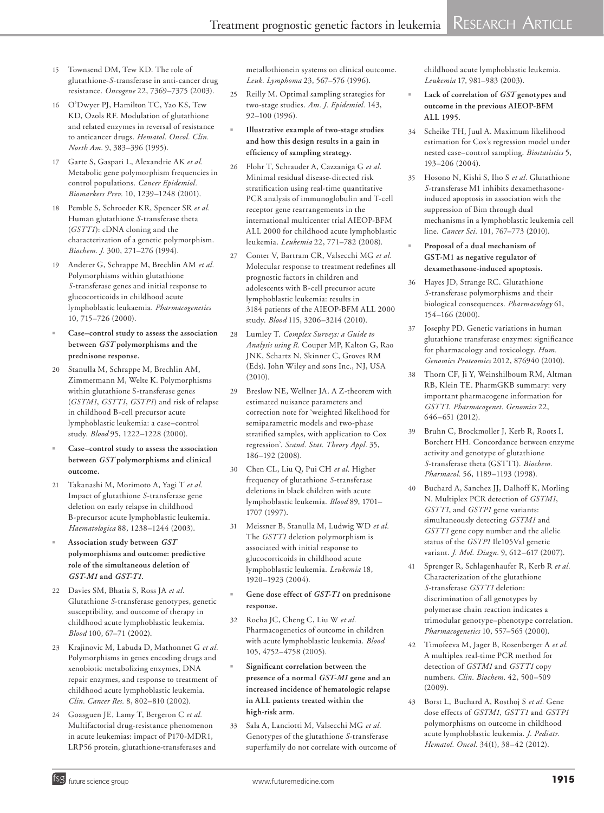- 15 Townsend DM, Tew KD. The role of glutathione-*S*-transferase in anti-cancer drug resistance. *Oncogene* 22, 7369–7375 (2003).
- 16 O'Dwyer PJ, Hamilton TC, Yao KS, Tew KD, Ozols RF. Modulation of glutathione and related enzymes in reversal of resistance to anticancer drugs. *Hematol. Oncol. Clin. North Am.* 9, 383–396 (1995).
- 17 Garte S, Gaspari L, Alexandrie AK *et al.* Metabolic gene polymorphism frequencies in control populations. *Cancer Epidemiol. Biomarkers Prev.* 10, 1239–1248 (2001).
- 18 Pemble S, Schroeder KR, Spencer SR *et al.* Human glutathione *S*-transferase theta (*GSTT1*): cDNA cloning and the characterization of a genetic polymorphism. *Biochem. J.* 300, 271–276 (1994).
- 19 Anderer G, Schrappe M, Brechlin AM *et al.* Polymorphisms within glutathione *S*-transferase genes and initial response to glucocorticoids in childhood acute lymphoblastic leukaemia. *Pharmacogenetics* 10, 715–726 (2000).
- <sup>n</sup> **Case–control study to assess the association between** *GST* **polymorphisms and the prednisone response.**
- 20 Stanulla M, Schrappe M, Brechlin AM, Zimmermann M, Welte K. Polymorphisms within glutathione S-transferase genes (*GSTM1*, *GSTT1*, *GSTP1*) and risk of relapse in childhood B-cell precursor acute lymphoblastic leukemia: a case–control study. *Blood* 95, 1222–1228 (2000).
- Case-control study to assess the association **between** *GST* **polymorphisms and clinical outcome.**
- 21 Takanashi M, Morimoto A, Yagi T *et al.* Impact of glutathione *S*-transferase gene deletion on early relapse in childhood B-precursor acute lymphoblastic leukemia. *Haematologica* 88, 1238–1244 (2003).
- <sup>n</sup> **Association study between** *GST* **polymorphisms and outcome: predictive role of the simultaneous deletion of**  *GST-M1* **and** *GST-T1***.**
- 22 Davies SM, Bhatia S, Ross JA *et al.* Glutathione *S*-transferase genotypes, genetic susceptibility, and outcome of therapy in childhood acute lymphoblastic leukemia. *Blood* 100, 67–71 (2002).
- 23 Krajinovic M, Labuda D, Mathonnet G *et al.* Polymorphisms in genes encoding drugs and xenobiotic metabolizing enzymes, DNA repair enzymes, and response to treatment of childhood acute lymphoblastic leukemia. *Clin. Cancer Res.* 8, 802–810 (2002).
- 24 Goasguen JE, Lamy T, Bergeron C *et al.* Multifactorial drug-resistance phenomenon in acute leukemias: impact of P170-MDR1, LRP56 protein, glutathione-transferases and

metallothionein systems on clinical outcome. *Leuk. Lymphoma* 23, 567–576 (1996).

- 25 Reilly M. Optimal sampling strategies for two-stage studies. *Am. J. Epidemiol.* 143, 92–100 (1996).
- <sup>n</sup> **Illustrative example of two-stage studies and how this design results in a gain in efficiency of sampling strategy.**
- 26 Flohr T, Schrauder A, Cazzaniga G *et al.* Minimal residual disease-directed risk stratification using real-time quantitative PCR analysis of immunoglobulin and T-cell receptor gene rearrangements in the international multicenter trial AIEOP-BFM ALL 2000 for childhood acute lymphoblastic leukemia. *Leukemia* 22, 771–782 (2008).
- 27 Conter V, Bartram CR, Valsecchi MG *et al.* Molecular response to treatment redefines all prognostic factors in children and adolescents with B-cell precursor acute lymphoblastic leukemia: results in 3184 patients of the AIEOP-BFM ALL 2000 study. *Blood* 115, 3206–3214 (2010).
- 28 Lumley T. *Complex Surveys: a Guide to Analysis using R*. Couper MP, Kalton G, Rao JNK, Schartz N, Skinner C, Groves RM (Eds). John Wiley and sons Inc., NJ, USA (2010).
- 29 Breslow NE, Wellner JA. A Z-theorem with estimated nuisance parameters and correction note for 'weighted likelihood for semiparametric models and two-phase stratified samples, with application to Cox regression'. *Scand. Stat. Theory Appl.* 35, 186–192 (2008).
- 30 Chen CL, Liu Q, Pui CH *et al.* Higher frequency of glutathione *S*-transferase deletions in black children with acute lymphoblastic leukemia. *Blood* 89, 1701– 1707 (1997).
- 31 Meissner B, Stanulla M, Ludwig WD *et al.* The *GSTT1* deletion polymorphism is associated with initial response to glucocorticoids in childhood acute lymphoblastic leukemia. *Leukemia* 18, 1920–1923 (2004).
- <sup>n</sup> **Gene dose effect of** *GST-T1* **on prednisone response.**
- 32 Rocha JC, Cheng C, Liu W *et al.* Pharmacogenetics of outcome in children with acute lymphoblastic leukemia. *Blood* 105, 4752–4758 (2005).
- Significant correlation between the **presence of a normal** *GST-M1* **gene and an increased incidence of hematologic relapse in ALL patients treated within the high-risk arm.**
- 33 Sala A, Lanciotti M, Valsecchi MG *et al.* Genotypes of the glutathione *S*-transferase superfamily do not correlate with outcome of

childhood acute lymphoblastic leukemia. *Leukemia* 17, 981–983 (2003).

- Lack of correlation of *GST* genotypes and **outcome in the previous AIEOP-BFM ALL 1995.**
- 34 Scheike TH, Juul A. Maximum likelihood estimation for Cox's regression model under nested case–control sampling. *Biostatistics* 5, 193–206 (2004).
- 35 Hosono N, Kishi S, Iho S *et al.* Glutathione *S*-transferase M1 inhibits dexamethasoneinduced apoptosis in association with the suppression of Bim through dual mechanisms in a lymphoblastic leukemia cell line. *Cancer Sci.* 101, 767–773 (2010).
- <sup>n</sup> **Proposal of a dual mechanism of GST-M1 as negative regulator of dexamethasone-induced apoptosis.**
- 36 Hayes JD, Strange RC. Glutathione *S*-transferase polymorphisms and their biological consequences. *Pharmacology* 61, 154–166 (2000).
- 37 Josephy PD. Genetic variations in human glutathione transferase enzymes: significance for pharmacology and toxicology. *Hum. Genomics Proteomics* 2012, 876940 (2010).
- 38 Thorn CF, Ji Y, Weinshilboum RM, Altman RB, Klein TE. PharmGKB summary: very important pharmacogene information for *GSTT1*. *Pharmacogenet. Genomics* 22, 646–651 (2012).
- 39 Bruhn C, Brockmoller J, Kerb R, Roots I, Borchert HH. Concordance between enzyme activity and genotype of glutathione *S*-transferase theta (GSTT1). *Biochem. Pharmacol.* 56, 1189–1193 (1998).
- 40 Buchard A, Sanchez JJ, Dalhoff K, Morling N. Multiplex PCR detection of *GSTM1*, *GSTT1*, and *GSTP1* gene variants: simultaneously detecting *GSTM1* and *GSTT1* gene copy number and the allelic status of the *GSTP1* Ile105Val genetic variant. *J. Mol. Diagn.* 9, 612–617 (2007).
- 41 Sprenger R, Schlagenhaufer R, Kerb R *et al.* Characterization of the glutathione *S*-transferase *GSTT1* deletion: discrimination of all genotypes by polymerase chain reaction indicates a trimodular genotype–phenotype correlation. *Pharmacogenetics* 10, 557–565 (2000).
- 42 Timofeeva M, Jager B, Rosenberger A *et al.* A multiplex real-time PCR method for detection of *GSTM1* and *GSTT1* copy numbers. *Clin. Biochem.* 42, 500–509 (2009).
- 43 Borst L, Buchard A, Rosthoj S *et al.* Gene dose effects of *GSTM1*, *GSTT1* and *GSTP1* polymorphisms on outcome in childhood acute lymphoblastic leukemia. *J. Pediatr. Hematol. Oncol.* 34(1), 38–42 (2012).